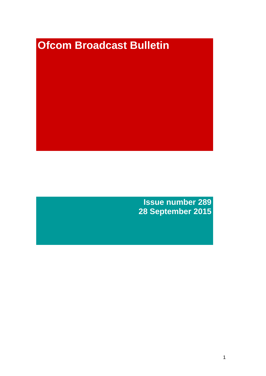# **Ofcom Broadcast Bulletin**

**Issue number 289 28 September 2015**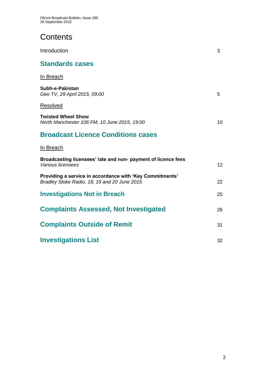# **Contents**

| Introduction                                                                                             | 3  |
|----------------------------------------------------------------------------------------------------------|----|
| <b>Standards cases</b>                                                                                   |    |
| In Breach                                                                                                |    |
| Subh-e-Pakistan<br>Geo TV, 29 April 2015, 09:00                                                          | 5  |
| Resolved                                                                                                 |    |
| <b>Twisted Wheel Show</b><br>North Manchester 106 FM, 10 June 2015, 19:00                                | 10 |
| <b>Broadcast Licence Conditions cases</b>                                                                |    |
| In Breach                                                                                                |    |
| Broadcasting licensees' late and non- payment of licence fees<br>Various licensees                       | 12 |
| Providing a service in accordance with 'Key Commitments'<br>Bradley Stoke Radio, 18, 19 and 20 June 2015 | 22 |
| <b>Investigations Not in Breach</b>                                                                      | 25 |
| <b>Complaints Assessed, Not Investigated</b>                                                             | 26 |
| <b>Complaints Outside of Remit</b>                                                                       | 31 |
| <b>Investigations List</b>                                                                               | 32 |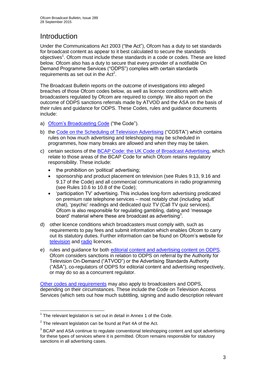# **Introduction**

Under the Communications Act 2003 ("the Act"), Ofcom has a duty to set standards for broadcast content as appear to it best calculated to secure the standards objectives<sup>1</sup>. Ofcom must include these standards in a code or codes. These are listed below. Ofcom also has a duty to secure that every provider of a notifiable On Demand Programme Services ("ODPS") complies with certain standards requirements as set out in the  $Act<sup>2</sup>$ .

The Broadcast Bulletin reports on the outcome of investigations into alleged breaches of those Ofcom codes below, as well as licence conditions with which broadcasters regulated by Ofcom are required to comply. We also report on the outcome of ODPS sanctions referrals made by ATVOD and the ASA on the basis of their rules and guidance for ODPS. These Codes, rules and guidance documents include:

- a) [Ofcom's Broadcasting Code](http://stakeholders.ofcom.org.uk/broadcasting/broadcast-codes/broadcast-code/) ("the Code").
- b) the [Code on the Scheduling of Television Advertising](http://stakeholders.ofcom.org.uk/broadcasting/broadcast-codes/advert-code/) ("COSTA") which contains rules on how much advertising and teleshopping may be scheduled in programmes, how many breaks are allowed and when they may be taken.
- c) certain sections of the [BCAP Code: the UK Code of Broadcast Advertising,](https://www.cap.org.uk/Advertising-Codes/Broadcast.aspx) which relate to those areas of the BCAP Code for which Ofcom retains regulatory responsibility. These include:
	- the prohibition on 'political' advertising:
	- sponsorship and product placement on television (see Rules 9.13, 9.16 and 9.17 of the Code) and all commercial communications in radio programming (see Rules 10.6 to 10.8 of the Code);
	- 'participation TV' advertising. This includes long-form advertising predicated on premium rate telephone services – most notably chat (including 'adult' chat), 'psychic' readings and dedicated quiz TV (Call TV quiz services). Ofcom is also responsible for regulating gambling, dating and 'message board' material where these are broadcast as advertising<sup>3</sup>.
- d) other licence conditions which broadcasters must comply with, such as requirements to pay fees and submit information which enables Ofcom to carry out its statutory duties. Further information can be found on Ofcom's website for [television](http://licensing.ofcom.org.uk/tv-broadcast-licences/) and [radio](http://licensing.ofcom.org.uk/radio-broadcast-licensing/) licences.
- e) rules and guidance for both [editorial content and advertising content on ODPS.](http://www.atvod.co.uk/uploads/files/ATVOD_Rules_and_Guidance_Ed_2.0_May_2012.pdf) Ofcom considers sanctions in relation to ODPS on referral by the Authority for Television On-Demand ("ATVOD") or the Advertising Standards Authority ("ASA"), co-regulators of ODPS for editorial content and advertising respectively, or may do so as a concurrent regulator.

[Other codes and requirements](http://stakeholders.ofcom.org.uk/broadcasting/broadcast-codes/) may also apply to broadcasters and ODPS, depending on their circumstances. These include the Code on Television Access Services (which sets out how much subtitling, signing and audio description relevant

<sup>1</sup>  $1$  The relevant legislation is set out in detail in Annex 1 of the Code.

 $2$  The relevant legislation can be found at Part 4A of the Act.

 $3$  BCAP and ASA continue to regulate conventional teleshopping content and spot advertising for these types of services where it is permitted. Ofcom remains responsible for statutory sanctions in all advertising cases.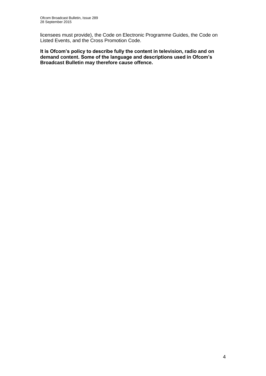licensees must provide), the Code on Electronic Programme Guides, the Code on Listed Events, and the Cross Promotion Code.

**It is Ofcom's policy to describe fully the content in television, radio and on demand content. Some of the language and descriptions used in Ofcom's Broadcast Bulletin may therefore cause offence.**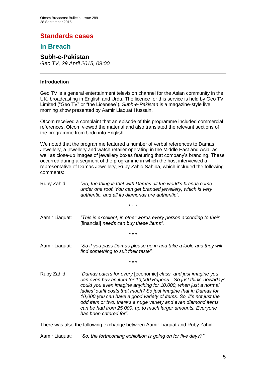# **Standards cases**

# **In Breach**

### **Subh-e-Pakistan**

*Geo TV, 29 April 2015, 09:00* 

### **Introduction**

Geo TV is a general entertainment television channel for the Asian community in the UK, broadcasting in English and Urdu. The licence for this service is held by Geo TV Limited ("Geo TV" or "the Licensee"). *Subh-e-Pakistan* is a magazine-style live morning show presented by Aamir Liaquat Hussain.

Ofcom received a complaint that an episode of this programme included commercial references. Ofcom viewed the material and also translated the relevant sections of the programme from Urdu into English.

We noted that the programme featured a number of verbal references to Damas Jewellery, a jewellery and watch retailer operating in the Middle East and Asia, as well as close-up images of jewellery boxes featuring that company's branding. These occurred during a segment of the programme in which the host interviewed a representative of Damas Jewellery, Ruby Zahid Sahiba, which included the following comments:

- Ruby Zahid: *"So, the thing is that with Damas all the world's brands come under one roof. You can get branded jewellery, which is very authentic, and all its diamonds are authentic".*
	- \* \* \*
- Aamir Liaquat: *"This is excellent, in other words every person according to their*  [financial] *needs can buy these items"*.
	- \* \* \*
- Aamir Liaquat: *"So if you pass Damas please go in and take a look, and they will find something to suit their taste"*.
	- \* \* \*
- Ruby Zahid: *"Damas caters for every* [economic] *class, and just imagine you can even buy an item for 10,000 Rupees…So just think, nowadays could you even imagine anything for 10,000, when just a normal ladies' outfit costs that much? So just imagine that in Damas for 10,000 you can have a good variety of items. So, it's not just the odd item or two, there's a huge variety and even diamond items can be had from 25,000, up to much larger amounts. Everyone has been catered for".*

There was also the following exchange between Aamir Liaquat and Ruby Zahid:

Aamir Liaquat: *"So, the forthcoming exhibition is going on for five days?"*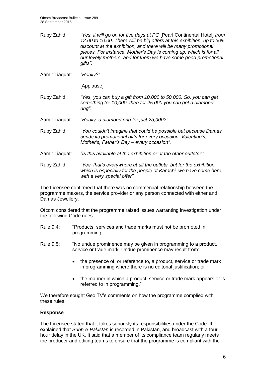Ruby Zahid: *"Yes, it will go on for five days at PC* [Pearl Continental Hotel] *from 12.00 to 10.00. There will be big offers at this exhibition, up to 30% discount at the exhibition, and there will be many promotional pieces. For instance, Mother's Day is coming up, which is for all our lovely mothers, and for them we have some good promotional gifts".*

Aamir Liaquat: *"Really?"*

[Applause]

Ruby Zahid: *"Yes, you can buy a gift from 10,000 to 50,000. So, you can get something for 10,000, then for 25,000 you can get a diamond ring".*

Aamir Liaquat: *"Really, a diamond ring for just 25,000?"*

- Ruby Zahid: *"You couldn't imagine that could be possible but because Damas sends its promotional gifts for every occasion: Valentine's, Mother's, Father's Day – every occasion".*
- Aamir Liaquat: *"Is this available at the exhibition or at the other outlets?"*
- Ruby Zahid: *"Yes, that's everywhere at all the outlets, but for the exhibition which is especially for the people of Karachi, we have come here with a very special offer"*.

The Licensee confirmed that there was no commercial relationship between the programme makers, the service provider or any person connected with either and Damas Jewellery.

Ofcom considered that the programme raised issues warranting investigation under the following Code rules:

- Rule 9.4: "Products, services and trade marks must not be promoted in programming."
- Rule 9.5: "No undue prominence may be given in programming to a product, service or trade mark. Undue prominence may result from:
	- the presence of, or reference to, a product, service or trade mark in programming where there is no editorial justification; or
	- the manner in which a product, service or trade mark appears or is referred to in programming."

We therefore sought Geo TV's comments on how the programme complied with these rules.

### **Response**

The Licensee stated that it takes seriously its responsibilities under the Code. It explained that *Subh-e-Pakistan* is recorded in Pakistan, and broadcast with a fourhour delay in the UK. It said that a member of its compliance team regularly meets the producer and editing teams to ensure that the programme is compliant with the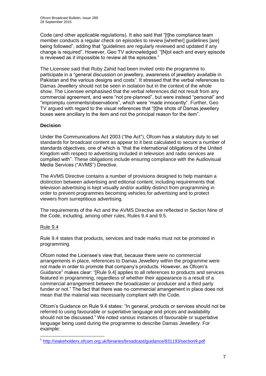Code (and other applicable regulations). It also said that "[t]he compliance team member conducts a regular check on episodes to review [whether] guidelines [are] being followed", adding that "guidelines are regularly reviewed and updated if any change is required". However, Geo TV acknowledged: "[N]ot each and every episode is reviewed as it impossible to review all the episodes."

The Licensee said that Ruby Zahid had been invited onto the programme to participate in a "general discussion on jewellery, awareness of jewellery available in Pakistan and the various designs and costs". It stressed that the verbal references to Damas Jewellery should not be seen in isolation but in the context of the whole show. The Licensee emphasised that the verbal references did not result from any commercial agreement, and were "not pre-planned", but were instead "personal" and "impromptu comments/observations", which were "made innocently". Further, Geo TV argued with regard to the visual references that "[t]he shots of Damas jewellery boxes were ancillary to the item and not the principal reason for the item".

### **Decision**

Under the Communications Act 2003 ("the Act"), Ofcom has a statutory duty to set standards for broadcast content as appear to it best calculated to secure a number of standards objectives, one of which is "that the international obligations of the United Kingdom with respect to advertising included in television and radio services are complied with". These obligations include ensuring compliance with the Audiovisual Media Services ("AVMS") Directive.

The AVMS Directive contains a number of provisions designed to help maintain a distinction between advertising and editorial content, including requirements that television advertising is kept visually and/or audibly distinct from programming in order to prevent programmes becoming vehicles for advertising and to protect viewers from surreptitious advertising.

The requirements of the Act and the AVMS Directive are reflected in Section Nine of the Code, including, among other rules, Rules 9.4 and 9.5.

### Rule 9.4

Rule 9.4 states that products, services and trade marks must not be promoted in programming.

Ofcom noted the Licensee's view that, because there were no commercial arrangements in place, references to Damas Jewellery within the programme were not made in order to promote that company's products. However, as Ofcom's Guidance<sup>1</sup> makes clear: "[Rule 9.4] applies to all references to products and services featured in programming, regardless of whether their appearance is a result of a commercial arrangement between the broadcaster or producer and a third party funder or not." The fact that there was no commercial arrangement in place does not mean that the material was necessarily compliant with the Code.

Ofcom's Guidance on Rule 9.4 states: "In general, products or services should not be referred to using favourable or superlative language and prices and availability should not be discussed." We noted various instances of favourable or superlative language being used during the programme to describe Damas Jewellery. For example:

 1 <http://stakeholders.ofcom.org.uk/binaries/broadcast/guidance/831193/section9.pdf>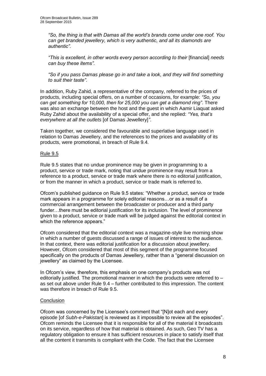*"So, the thing is that with Damas all the world's brands come under one roof. You can get branded jewellery, which is very authentic, and all its diamonds are authentic".*

*"This is excellent, in other words every person according to their* [financial] *needs can buy these items"*.

*"So if you pass Damas please go in and take a look, and they will find something to suit their taste"*.

In addition, Ruby Zahid, a representative of the company, referred to the prices of products, including special offers, on a number of occasions, for example: *"So, you can get something for 10,000, then for 25,000 you can get a diamond ring"*. There was also an exchange between the host and the guest in which Aamir Liaquat asked Ruby Zahid about the availability of a special offer, and she replied: *"Yes, that's everywhere at all the outlets* [of Damas Jewellery]*"*.

Taken together, we considered the favourable and superlative language used in relation to Damas Jewellery, and the references to the prices and availability of its products, were promotional, in breach of Rule 9.4.

### Rule 9.5

Rule 9.5 states that no undue prominence may be given in programming to a product, service or trade mark, noting that undue prominence may result from a reference to a product, service or trade mark where there is no editorial justification, or from the manner in which a product, service or trade mark is referred to.

Ofcom's published guidance on Rule 9.5 states: "Whether a product, service or trade mark appears in a programme for solely editorial reasons…or as a result of a commercial arrangement between the broadcaster or producer and a third party funder…there must be editorial justification for its inclusion. The level of prominence given to a product, service or trade mark will be judged against the editorial context in which the reference appears."

Ofcom considered that the editorial context was a magazine-style live morning show in which a number of guests discussed a range of issues of interest to the audience. In that context, there was editorial justification for a discussion about jewellery. However, Ofcom considered that most of this segment of the programme focused specifically on the products of Damas Jewellery, rather than a "general discussion on jewellery" as claimed by the Licensee.

In Ofcom's view, therefore, this emphasis on one company's products was not editorially justified. The promotional manner in which the products were referred to  $$ as set out above under Rule 9.4 – further contributed to this impression. The content was therefore in breach of Rule 9.5.

### **Conclusion**

Ofcom was concerned by the Licensee's comment that "[N]ot each and every episode [of *Subh-e-Pakistan*] is reviewed as it impossible to review all the episodes". Ofcom reminds the Licensee that it is responsible for all of the material it broadcasts on its service, regardless of how that material is obtained. As such, Geo TV has a regulatory obligation to ensure it has sufficient resources in place to satisfy itself that all the content it transmits is compliant with the Code. The fact that the Licensee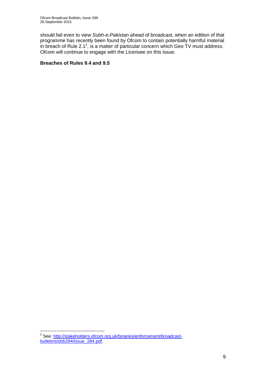should fail even to view *Subh-e-Pakistan* ahead of broadcast, when an edition of that programme has recently been found by Ofcom to contain potentially harmful material in breach of Rule 2.1<sup>2</sup>, is a matter of particular concern which Geo TV must address. Ofcom will continue to engage with the Licensee on this issue.

### **Breaches of Rules 9.4 and 9.5**

 2 See: [http://stakeholders.ofcom.org.uk/binaries/enforcement/broadcast](http://stakeholders.ofcom.org.uk/binaries/enforcement/broadcast-bulletins/obb284/Issue_284.pdf)[bulletins/obb284/Issue\\_284.pdf.](http://stakeholders.ofcom.org.uk/binaries/enforcement/broadcast-bulletins/obb284/Issue_284.pdf)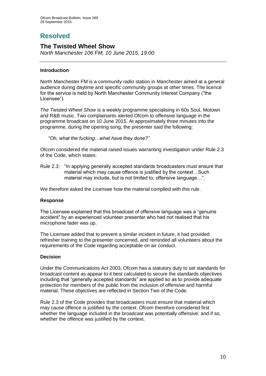# **Resolved**

### **The Twisted Wheel Show**

*North Manchester 106 FM, 10 June 2015, 19:00*

### **Introduction**

North Manchester FM is a community radio station in Manchester aimed at a general audience during daytime and specific community groups at other times. The licence for the service is held by North Manchester Community Interest Company ("the Licensee").

*The Twisted Wheel Show* is a weekly programme specialising in 60s Soul, Motown and R&B music. Two complainants alerted Ofcom to offensive language in the programme broadcast on 10 June 2015. At approximately three minutes into the programme, during the opening song, the presenter said the following:

*"Oh, what the fucking…what have they done?"*

Ofcom considered the material raised issues warranting investigation under Rule 2.3 of the Code, which states:

Rule 2.3: "In applying generally accepted standards broadcasters must ensure that material which may cause offence is justified by the context…Such material may include, but is not limited to, offensive language…".

We therefore asked the Licensee how the material complied with this rule.

### **Response**

The Licensee explained that this broadcast of offensive language was a "genuine accident" by an experienced volunteer presenter who had not realised that his microphone fader was up.

The Licensee added that to prevent a similar incident in future, it had provided refresher training to the presenter concerned, and reminded all volunteers about the requirements of the Code regarding acceptable on air conduct.

### **Decision**

Under the Communications Act 2003, Ofcom has a statutory duty to set standards for broadcast content as appear to it best calculated to secure the standards objectives including that "generally accepted standards" are applied so as to provide adequate protection for members of the public from the inclusion of offensive and harmful material. These objectives are reflected in Section Two of the Code.

Rule 2.3 of the Code provides that broadcasters must ensure that material which may cause offence is justified by the context. Ofcom therefore considered first whether the language included in the broadcast was potentially offensive; and if so, whether the offence was justified by the context.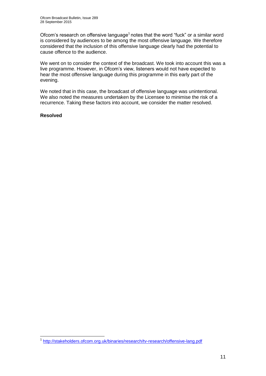Ofcom's research on offensive language<sup>1</sup> notes that the word "fuck" or a similar word is considered by audiences to be among the most offensive language. We therefore considered that the inclusion of this offensive language clearly had the potential to cause offence to the audience.

We went on to consider the context of the broadcast. We took into account this was a live programme. However, in Ofcom's view, listeners would not have expected to hear the most offensive language during this programme in this early part of the evening.

We noted that in this case, the broadcast of offensive language was unintentional. We also noted the measures undertaken by the Licensee to minimise the risk of a recurrence. Taking these factors into account, we consider the matter resolved.

### **Resolved**

<sup>1</sup> <sup>1</sup> <http://stakeholders.ofcom.org.uk/binaries/research/tv-research/offensive-lang.pdf>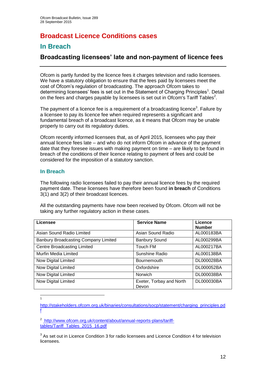# **Broadcast Licence Conditions cases**

# **In Breach**

# **Broadcasting licensees' late and non-payment of licence fees**

Ofcom is partly funded by the licence fees it charges television and radio licensees. We have a statutory obligation to ensure that the fees paid by licensees meet the cost of Ofcom's regulation of broadcasting. The approach Ofcom takes to determining licensees' fees is set out in the Statement of Charging Principles<sup>1</sup>. Detail on the fees and charges payable by licensees is set out in Ofcom's Tariff Tables<sup>2</sup>.

The payment of a licence fee is a requirement of a broadcasting licence<sup>3</sup>. Failure by a licensee to pay its licence fee when required represents a significant and fundamental breach of a broadcast licence, as it means that Ofcom may be unable properly to carry out its regulatory duties.

Ofcom recently informed licensees that, as of April 2015, licensees who pay their annual licence fees late – and who do not inform Ofcom in advance of the payment date that they foresee issues with making payment on time – are likely to be found in breach of the conditions of their licence relating to payment of fees and could be considered for the imposition of a statutory sanction.

### **In Breach**

1 1

The following radio licensees failed to pay their annual licence fees by the required payment date. These licensees have therefore been found **in breach** of Conditions 3(1) and 3(2) of their broadcast licences.

All the outstanding payments have now been received by Ofcom. Ofcom will not be taking any further regulatory action in these cases.

| Licensee                             | <b>Service Name</b>               | Licence<br><b>Number</b> |
|--------------------------------------|-----------------------------------|--------------------------|
| Asian Sound Radio Limited            | Asian Sound Radio                 | AL000183BA               |
| Banbury Broadcasting Company Limited | <b>Banbury Sound</b>              | AL000299BA               |
| Centre Broadcasting Limited          | Touch FM                          | AL000217BA               |
| Murfin Media Limited                 | Sunshine Radio                    | AL000138BA               |
| Now Digital Limited                  | <b>Bournemouth</b>                | DL000028BA               |
| Now Digital Limited                  | Oxfordshire                       | DL000052BA               |
| Now Digital Limited                  | Norwich                           | DL000038BA               |
| Now Digital Limited                  | Exeter, Torbay and North<br>Devon | DL000030BA               |

[http://stakeholders.ofcom.org.uk/binaries/consultations/socp/statement/charging\\_principles.pd](http://stakeholders.ofcom.org.uk/binaries/consultations/socp/statement/charging_principles.pdf) [f](http://stakeholders.ofcom.org.uk/binaries/consultations/socp/statement/charging_principles.pdf)

<sup>2</sup> [http://www.ofcom.org.uk/content/about/annual-reports-plans/tariff](http://www.ofcom.org.uk/content/about/annual-reports-plans/tariff-tables/Tariff_Tables_2015_16.pdf)[tables/Tariff\\_Tables\\_2015\\_16.pdf](http://www.ofcom.org.uk/content/about/annual-reports-plans/tariff-tables/Tariff_Tables_2015_16.pdf)

 $3$  As set out in Licence Condition 3 for radio licensees and Licence Condition 4 for television licensees.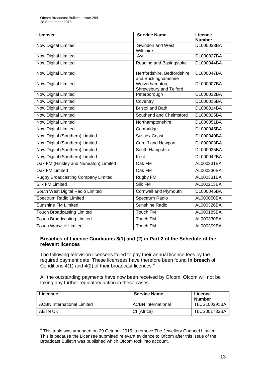| <b>Licensee</b>                       | <b>Service Name</b>                                | Licence<br><b>Number</b> |
|---------------------------------------|----------------------------------------------------|--------------------------|
| Now Digital Limited                   | Swindon and West<br>Wiltshire                      | DL000033BA               |
| Now Digital Limited                   | Ayr                                                | DL000027BA               |
| <b>Now Digital Limited</b>            | Reading and Basingstoke                            | DL000044BA               |
| Now Digital Limited                   | Hertfordshire, Bedfordshire<br>and Buckinghamshire | DL000047BA               |
| <b>Now Digital Limited</b>            | Wolverhampton,<br>Shrewsbury and Telford           | <b>DL000007BA</b>        |
| Now Digital Limited                   | Peterborough                                       | DL000032BA               |
| Now Digital Limited                   | Coventry                                           | DL000015BA               |
| <b>Now Digital Limited</b>            | <b>Bristol and Bath</b>                            | DL000014BA               |
| <b>Now Digital Limited</b>            | Southend and Chelmsford                            | DL000025BA               |
| <b>Now Digital Limited</b>            | Northamptonshire                                   | DL000051BA               |
| <b>Now Digital Limited</b>            | Cambridge                                          | DL000045BA               |
| Now Digital (Southern) Limited        | <b>Sussex Coast</b>                                | DL000040BA               |
| Now Digital (Southern) Limited        | <b>Cardiff and Newport</b>                         | DL000008BA               |
| Now Digital (Southern) Limited        | South Hampshire                                    | DL000035BA               |
| Now Digital (Southern) Limited        | Kent                                               | DL000042BA               |
| Oak FM (Hinkley and Nuneaton) Limited | Oak FM                                             | AL000231BA               |
| Oak FM Limited                        | Oak FM                                             | AL000230BA               |
| Rugby Broadcasting Company Limited    | Rugby FM                                           | AL000331BA               |
| <b>Silk FM Limited</b>                | Silk FM                                            | AL000213BA               |
| South West Digital Radio Limited      | Cornwall and Plymouth                              | DL000046BA               |
| Spectrum Radio Limited                | Spectrum Radio                                     | AL000050BA               |
| <b>Sunshine FM Limited</b>            | Sunshine Radio                                     | AL000326BA               |
| <b>Touch Broadcasting Limited</b>     | <b>Touch FM</b>                                    | AL000185BA               |
| <b>Touch Broadcasting Limited</b>     | <b>Touch FM</b>                                    | AL000330BA               |
| <b>Touch Warwick Limited</b>          | Touch FM                                           | AL000309BA               |

### **Breaches of Licence Conditions 3(1) and (2) in Part 2 of the Schedule of the relevant licences**

The following television licensees failed to pay their annual licence fees by the required payment date. These licensees have therefore been found **in breach** of Conditions 4(1) and 4(2) of their broadcast licences.<sup>4</sup>

All the outstanding payments have now been received by Ofcom. Ofcom will not be taking any further regulatory action in these cases.

| Licensee                          | <b>Service Name</b>       | Licence<br>Number   |
|-----------------------------------|---------------------------|---------------------|
| <b>ACBN International Limited</b> | <b>ACBN International</b> | <b>TLCS100391BA</b> |
| AETN UK                           | CI (Africa)               | <b>TLCS001733BA</b> |

<sup>1</sup>  $4$  This table was amended on 29 October 2015 to remove The Jewellery Channel Limited. This is because the Licensee submitted relevant evidence to Ofcom after this issue of the Broadcast Bulletin was published which Ofcom took into account.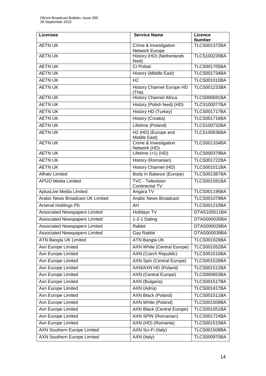| <b>Licensee</b>                         | <b>Service Name</b>                       | Licence<br><b>Number</b> |
|-----------------------------------------|-------------------------------------------|--------------------------|
| <b>AETN UK</b>                          | Crime & Investigation<br>Network Europe   | <b>TLCS001372BA</b>      |
| <b>AETN UK</b>                          | History (HD) (Netherlands<br>feed)        | <b>TLCS100220BA</b>      |
| <b>AETN UK</b>                          | <b>CI Polsat</b>                          | <b>TLCS001705BA</b>      |
| <b>AETN UK</b>                          | History (Middle East)                     | <b>TLCS001734BA</b>      |
| <b>AETN UK</b>                          | H <sub>2</sub>                            | <b>TLCS001010BA</b>      |
| <b>AETN UK</b>                          | <b>History Channel Europe HD</b><br>(The) | <b>TLCS001233BA</b>      |
| <b>AETN UK</b>                          | <b>History Channel Africa</b>             | <b>TLCS000691BA</b>      |
| <b>AETN UK</b>                          | History (Polish feed) (HD)                | <b>TLCS100077BA</b>      |
| <b>AETN UK</b>                          | <b>History HD (Turkey)</b>                | <b>TLCS001717BA</b>      |
| <b>AETN UK</b>                          | History (Croatia)                         | <b>TLCS001716BA</b>      |
| <b>AETN UK</b>                          | Lifetime (Poland)                         | <b>TLCS100732BA</b>      |
| <b>AETN UK</b>                          | H2 (HD) (Europe and<br>Middle East)       | <b>TLCS100636BA</b>      |
| <b>AETN UK</b>                          | Crime & Investigation<br>Network (HD)     | <b>TLCS001334BA</b>      |
| <b>AETN UK</b>                          | Lifetime (+1) (HD)                        | <b>TLCS000379BA</b>      |
| <b>AETN UK</b>                          | History (Romanian)                        | <b>TLCS001722BA</b>      |
| <b>AETN UK</b>                          | History Channel (HD)                      | <b>TLCS001011BA</b>      |
| <b>Alfratv Limited</b>                  | Body In Balance (Europe)                  | <b>TLCS001387BA</b>      |
| <b>APGO Media Limited</b>               | <b>TVC - Television</b><br>Continental TV | <b>TLCS001581BA</b>      |
| AplusLive Media Limited                 | Angara TV                                 | <b>TLCS001195BA</b>      |
| <b>Arabic News Broadcast UK Limited</b> | <b>Arabic News Broadcast</b>              | <b>TLCS001079BA</b>      |
| <b>Arsenal Holdings Plc</b>             | AH                                        | <b>TLCS001210BA</b>      |
| <b>Associated Newspapers Limited</b>    | <b>Holidays TV</b>                        | DTAS100511BA             |
| <b>Associated Newspapers Limited</b>    | 1-2-1 Dating                              | DTAS000035BA             |
| <b>Associated Newspapers Limited</b>    | Rabbit                                    | DTAS000028BA             |
| <b>Associated Newspapers Limited</b>    | Gay Rabbit                                | <b>DTAS000039BA</b>      |
| <b>ATN Bangla UK Limited</b>            | ATN Bangla UK                             | <b>TLCS001029BA</b>      |
| Axn Europe Limited                      | <b>AXN White (Central Europe)</b>         | <b>TLCS001052BA</b>      |
| Axn Europe Limited                      | AXN (Czech Republic)                      | <b>TLCS001516BA</b>      |
| Axn Europe Limited                      | <b>AXN Spin (Central Europe)</b>          | <b>TLCS001528BA</b>      |
| Axn Europe Limited                      | AXN/AXN HD (Poland)                       | <b>TLCS001512BA</b>      |
| Axn Europe Limited                      | <b>AXN</b> (Central Europe)               | <b>TLCS000653BA</b>      |
| Axn Europe Limited                      | <b>AXN</b> (Bulgaria)                     | <b>TLCS001517BA</b>      |
| Axn Europe Limited                      | AXN (Adria)                               | <b>TLCS001417BA</b>      |
| Axn Europe Limited                      | AXN Black (Poland)                        | <b>TLCS001511BA</b>      |
| Axn Europe Limited                      | AXN White (Poland)                        | <b>TLCS001509BA</b>      |
| Axn Europe Limited                      | <b>AXN Black (Central Europe)</b>         | <b>TLCS001051BA</b>      |
| Axn Europe Limited                      | AXN SPIN (Romanian)                       | <b>TLCS001724BA</b>      |
| <b>Axn Europe Limited</b>               | AXN (HD) (Romania)                        | <b>TLCS001515BA</b>      |
| <b>AXN Southern Europe Limited</b>      | AXN Sci-Fi (Italy)                        | <b>TLCS001508BA</b>      |
| <b>AXN Southern Europe Limited</b>      | AXN (Italy)                               | <b>TLCS000970BA</b>      |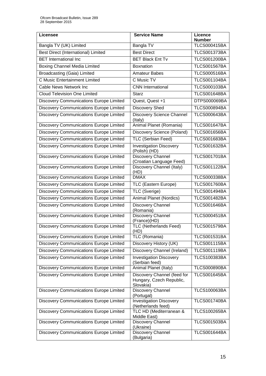| <b>Licensee</b>                                | <b>Service Name</b>                                                  | <b>Licence</b><br><b>Number</b> |
|------------------------------------------------|----------------------------------------------------------------------|---------------------------------|
| Bangla TV (UK) Limited                         | Bangla TV                                                            | <b>TLCS000415BA</b>             |
| <b>Best Direct (International) Limited</b>     | <b>Best Direct</b>                                                   | <b>TLCS001373BA</b>             |
| <b>BET</b> International Inc                   | <b>BET Black Ent Tv</b>                                              | <b>TLCS001200BA</b>             |
| <b>Boxing Channel Media Limited</b>            | <b>Boxnation</b>                                                     | <b>TLCS001567BA</b>             |
| <b>Broadcasting (Gaia) Limited</b>             | <b>Amateur Babes</b>                                                 | <b>TLCS000516BA</b>             |
| <b>C Music Entertainment Limited</b>           | C Music TV                                                           | <b>TLCS001104BA</b>             |
| Cable News Network Inc                         | <b>CNN</b> International                                             | <b>TLCS000103BA</b>             |
| <b>Cloud Television One Limited</b>            | <b>Starz</b>                                                         | <b>TLCS001648BA</b>             |
| <b>Discovery Communications Europe Limited</b> | Quest, Quest +1                                                      | DTPS000069BA                    |
| <b>Discovery Communications Europe Limited</b> | <b>Discovery Shed</b>                                                | <b>TLCS000894BA</b>             |
| Discovery Communications Europe Limited        | Discovery Science Channel<br>(Italy)                                 | <b>TLCS000643BA</b>             |
| Discovery Communications Europe Limited        | Animal Planet (Romania)                                              | <b>TLCS001647BA</b>             |
| <b>Discovery Communications Europe Limited</b> | Discovery Science (Poland)                                           | <b>TLCS001656BA</b>             |
| Discovery Communications Europe Limited        | TLC (Serbian Feed)                                                   | <b>TLCS001683BA</b>             |
| <b>Discovery Communications Europe Limited</b> | <b>Investigation Discovery</b><br>(Polish) (HD)                      | <b>TLCS001632BA</b>             |
| <b>Discovery Communications Europe Limited</b> | <b>Discovery Channel</b><br>(Croatian Language Feed)                 | <b>TLCS001701BA</b>             |
| Discovery Communications Europe Limited        | Discovery Channel (Italy)<br>(HD)                                    | <b>TLCS001122BA</b>             |
| <b>Discovery Communications Europe Limited</b> | <b>DMAX</b>                                                          | <b>TLCS000338BA</b>             |
| Discovery Communications Europe Limited        | TLC (Eastern Europe)                                                 | <b>TLCS001760BA</b>             |
| <b>Discovery Communications Europe Limited</b> | TLC (Sverige)                                                        | <b>TLCS001494BA</b>             |
| Discovery Communications Europe Limited        | <b>Animal Planet (Nordics)</b>                                       | <b>TLCS001482BA</b>             |
| <b>Discovery Communications Europe Limited</b> | Discovery Channel<br>(Romania)                                       | <b>TLCS001646BA</b>             |
| <b>Discovery Communications Europe Limited</b> | Discovery Channel<br>(France)(HD)                                    | <b>TLCS000451BA</b>             |
| <b>Discovery Communications Europe Limited</b> | <b>TLC (Netherlands Feed)</b><br>(HD)                                | <b>TLCS001579BA</b>             |
| Discovery Communications Europe Limited        | TLC (Romania)                                                        | <b>TLCS001531BA</b>             |
| Discovery Communications Europe Limited        | Discovery History (UK)                                               | <b>TLCS001115BA</b>             |
| Discovery Communications Europe Limited        | Discovery Channel (Ireland)                                          | <b>TLCS001119BA</b>             |
| <b>Discovery Communications Europe Limited</b> | <b>Investigation Discovery</b><br>(Serbian feed)                     | <b>TLCS100383BA</b>             |
| Discovery Communications Europe Limited        | Animal Planet (Italy)                                                | <b>TLCS000890BA</b>             |
| <b>Discovery Communications Europe Limited</b> | Discovery Channel (feed for<br>Hungary, Czech Republic,<br>Slovakia) | <b>TLCS001645BA</b>             |
| Discovery Communications Europe Limited        | Discovery Channel<br>(Portugal)                                      | <b>TLCS100063BA</b>             |
| Discovery Communications Europe Limited        | <b>Investigation Discovery</b><br>(Netherlands feed)                 | <b>TLCS001740BA</b>             |
| Discovery Communications Europe Limited        | TLC HD (Mediterranean &<br>Middle East)                              | <b>TLCS100265BA</b>             |
| Discovery Communications Europe Limited        | Discovery Channel<br>(Ukraine)                                       | <b>TLCS001503BA</b>             |
| Discovery Communications Europe Limited        | Discovery Channel<br>(Bulgaria)                                      | <b>TLCS001644BA</b>             |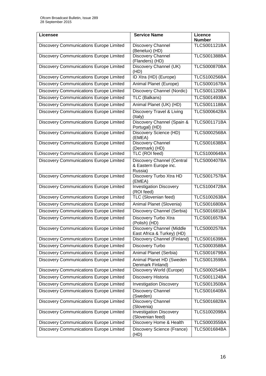| <b>Licensee</b>                                | <b>Service Name</b>                                                   | Licence<br><b>Number</b> |
|------------------------------------------------|-----------------------------------------------------------------------|--------------------------|
| <b>Discovery Communications Europe Limited</b> | Discovery Channel<br>(Benelux) (HD)                                   | <b>TLCS001121BA</b>      |
| Discovery Communications Europe Limited        | Discovery Channel<br>(Flanders) (HD)                                  | <b>TLCS001388BA</b>      |
| Discovery Communications Europe Limited        | Discovery Channel (UK)<br>(HD)                                        | <b>TLCS000870BA</b>      |
| <b>Discovery Communications Europe Limited</b> | ID Xtra (HD) (Europe)                                                 | <b>TLCS100256BA</b>      |
| <b>Discovery Communications Europe Limited</b> | Animal Planet (Europe)                                                | <b>TLCS000167BA</b>      |
| Discovery Communications Europe Limited        | Discovery Channel (Nordic)                                            | <b>TLCS001120BA</b>      |
| <b>Discovery Communications Europe Limited</b> | TLC (Balkans)                                                         | <b>TLCS001493BA</b>      |
| <b>Discovery Communications Europe Limited</b> | Animal Planet (UK) (HD)                                               | <b>TLCS001118BA</b>      |
| Discovery Communications Europe Limited        | Discovery Travel & Living<br>(Italy)                                  | <b>TLCS000642BA</b>      |
| <b>Discovery Communications Europe Limited</b> | Discovery Channel (Spain &<br>Portugal) (HD)                          | <b>TLCS001171BA</b>      |
| Discovery Communications Europe Limited        | Discovery Science (HD)<br>(EMEA)                                      | <b>TLCS000256BA</b>      |
| <b>Discovery Communications Europe Limited</b> | Discovery Channel<br>(Denmark) (HD)                                   | <b>TLCS001638BA</b>      |
| <b>Discovery Communications Europe Limited</b> | TLC (ROI feed)                                                        | <b>TLCS100064BA</b>      |
| <b>Discovery Communications Europe Limited</b> | <b>Discovery Channel (Central</b><br>& Eastern Europe inc.<br>Russia) | <b>TLCS000407BA</b>      |
| <b>Discovery Communications Europe Limited</b> | Discovery Turbo Xtra HD<br>(EMEA)                                     | <b>TLCS001757BA</b>      |
| Discovery Communications Europe Limited        | <b>Investigation Discovery</b><br>(ROI feed)                          | <b>TLCS100472BA</b>      |
| Discovery Communications Europe Limited        | TLC (Slovenian feed)                                                  | <b>TLCS100263BA</b>      |
| <b>Discovery Communications Europe Limited</b> | Animal Planet (Slovenia)                                              | <b>TLCS001680BA</b>      |
| <b>Discovery Communications Europe Limited</b> | Discovery Channel (Serbia)                                            | <b>TLCS001681BA</b>      |
| <b>Discovery Communications Europe Limited</b> | Discovery Turbo Xtra<br>(Polish) (HD)                                 | <b>TLCS001657BA</b>      |
| <b>Discovery Communications Europe Limited</b> | Discovery Channel (Middle<br>East Africa & Turkey) (HD)               | <b>TLCS000257BA</b>      |
| <b>Discovery Communications Europe Limited</b> | Discovery Channel (Finland)                                           | <b>TLCS001639BA</b>      |
| <b>Discovery Communications Europe Limited</b> | Discovery Turbo                                                       | <b>TLCS000358BA</b>      |
| Discovery Communications Europe Limited        | Animal Planet (Serbia)                                                | <b>TLCS001679BA</b>      |
| <b>Discovery Communications Europe Limited</b> | Animal Planet HD (Sweden<br>Denmark Finland)                          | <b>TLCS001359BA</b>      |
| <b>Discovery Communications Europe Limited</b> | Discovery World (Europe)                                              | <b>TLCS000254BA</b>      |
| Discovery Communications Europe Limited        | Discovery Historia                                                    | <b>TLCS001124BA</b>      |
| <b>Discovery Communications Europe Limited</b> | <b>Investigation Discovery</b>                                        | <b>TLCS001350BA</b>      |
| Discovery Communications Europe Limited        | Discovery Channel<br>(Sweden)                                         | <b>TLCS001640BA</b>      |
| Discovery Communications Europe Limited        | Discovery Channel<br>(Slovenia)                                       | <b>TLCS001682BA</b>      |
| Discovery Communications Europe Limited        | <b>Investigation Discovery</b><br>(Slovenian feed)                    | <b>TLCS100209BA</b>      |
| Discovery Communications Europe Limited        | Discovery Home & Health                                               | <b>TLCS000355BA</b>      |
| <b>Discovery Communications Europe Limited</b> | Discovery Science (France)<br>(HD)                                    | <b>TLCS001684BA</b>      |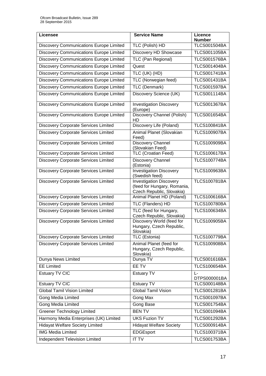| Licensee                                       | <b>Service Name</b>                                                                        | Licence<br><b>Number</b> |
|------------------------------------------------|--------------------------------------------------------------------------------------------|--------------------------|
| Discovery Communications Europe Limited        | TLC (Polish) HD                                                                            | <b>TLCS001504BA</b>      |
| <b>Discovery Communications Europe Limited</b> | Discovery HD Showcase                                                                      | <b>TLCS001105BA</b>      |
| Discovery Communications Europe Limited        | TLC (Pan Regional)                                                                         | <b>TLCS001576BA</b>      |
| Discovery Communications Europe Limited        | Quest                                                                                      | <b>TLCS001404BA</b>      |
| <b>Discovery Communications Europe Limited</b> | TLC (UK) (HD)                                                                              | <b>TLCS001741BA</b>      |
| Discovery Communications Europe Limited        | TLC (Norwegian feed)                                                                       | <b>TLCS001431BA</b>      |
| Discovery Communications Europe Limited        | TLC (Denmark)                                                                              | <b>TLCS001597BA</b>      |
| <b>Discovery Communications Europe Limited</b> | <b>Discovery Science (UK)</b>                                                              | <b>TLCS001114BA</b>      |
| Discovery Communications Europe Limited        | <b>Investigation Discovery</b><br>(Europe)                                                 | <b>TLCS001367BA</b>      |
| Discovery Communications Europe Limited        | Discovery Channel (Polish)<br>HD                                                           | <b>TLCS001654BA</b>      |
| <b>Discovery Corporate Services Limited</b>    | Discovery Life (Poland)                                                                    | <b>TLCS100841BA</b>      |
| <b>Discovery Corporate Services Limited</b>    | Animal Planet (Slovakian<br>Feed)                                                          | <b>TLCS100907BA</b>      |
| <b>Discovery Corporate Services Limited</b>    | Discovery Channel<br>(Slovakian Feed)                                                      | <b>TLCS100909BA</b>      |
| Discovery Corporate Services Limited           | <b>TLC (Croatian Feed)</b>                                                                 | <b>TLCS100617BA</b>      |
| <b>Discovery Corporate Services Limited</b>    | Discovery Channel<br>(Estonia)                                                             | <b>TLCS100774BA</b>      |
| <b>Discovery Corporate Services Limited</b>    | <b>Investigation Discovery</b><br>(Swedish feed)                                           | <b>TLCS100963BA</b>      |
| <b>Discovery Corporate Services Limited</b>    | <b>Investigation Discovery</b><br>(feed for Hungary, Romania,<br>Czech Republic, Slovakia) | <b>TLCS100781BA</b>      |
| Discovery Corporate Services Limited           | Animal Planet HD (Poland)                                                                  | <b>TLCS100616BA</b>      |
| <b>Discovery Corporate Services Limited</b>    | TLC (Flanders) HD                                                                          | <b>TLCS100780BA</b>      |
| <b>Discovery Corporate Services Limited</b>    | TLC (feed for Hungary,<br>Czech Republic, Slovakia)                                        | <b>TLCS100634BA</b>      |
| <b>Discovery Corporate Services Limited</b>    | Discovery World (feed for<br>Hungary, Czech Republic,<br>Slovakia)                         | <b>TLCS100905BA</b>      |
| Discovery Corporate Services Limited           | TLC (Estonia)                                                                              | <b>TLCS100779BA</b>      |
| <b>Discovery Corporate Services Limited</b>    | Animal Planet (feed for<br>Hungary, Czech Republic,<br>Slovakia)                           | <b>TLCS100908BA</b>      |
| Dunya News Limited                             | Dunya TV                                                                                   | <b>TLCS001616BA</b>      |
| <b>EE Limited</b>                              | EE TV                                                                                      | <b>TLCS100654BA</b>      |
| Estuary TV CIC                                 | <b>Estuary TV</b>                                                                          | Ŀ<br>DTPS000001BA        |
| Estuary TV CIC                                 | <b>Estuary TV</b>                                                                          | <b>TLCS000148BA</b>      |
| <b>Global Tamil Vision Limited</b>             | <b>Global Tamil Vision</b>                                                                 | <b>TLCS001281BA</b>      |
| Gong Media Limited                             | Gong Max                                                                                   | <b>TLCS001097BA</b>      |
| <b>Gong Media Limited</b>                      | Gong Base                                                                                  | <b>TLCS001754BA</b>      |
| <b>Greener Technology Limited</b>              | <b>BENTV</b>                                                                               | <b>TLCS001094BA</b>      |
| Harmony Media Enterprises (UK) Limited         | <b>UKS Fuzion TV</b>                                                                       | <b>TLCS001292BA</b>      |
| <b>Hidayat Welfare Society Limited</b>         | <b>Hidayat Welfare Society</b>                                                             | <b>TLCS000914BA</b>      |
| <b>IMG Media Limited</b>                       | EDGEsport                                                                                  | <b>TLCS100371BA</b>      |
| Independent Television Limited                 | <b>IT TV</b>                                                                               | <b>TLCS001753BA</b>      |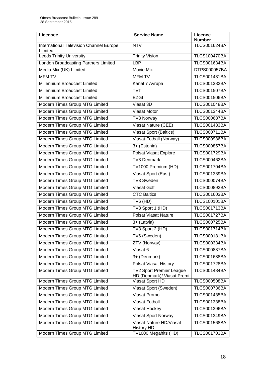| Licensee                                           | <b>Service Name</b>                                           | <b>Licence</b><br><b>Number</b> |
|----------------------------------------------------|---------------------------------------------------------------|---------------------------------|
| International Television Channel Europe<br>Limited | <b>NTV</b>                                                    | <b>TLCS001624BA</b>             |
| Leeds Trinity University                           | <b>Trinity Vision</b>                                         | <b>TLCS100470BA</b>             |
| London Broadcasting Partners Limited               | <b>LBP</b>                                                    | <b>TLCS001634BA</b>             |
| Media Mix (UK) Limited                             | <b>Movie Mix</b>                                              | DTPS000057BA                    |
| <b>MFM TV</b>                                      | <b>MFM TV</b>                                                 | <b>TLCS001481BA</b>             |
| Millennium Broadcast Limited                       | Kanal 7 Avrupa                                                | <b>TLCS001382BA</b>             |
| Millennium Broadcast Limited                       | <b>TVT</b>                                                    | <b>TLCS001507BA</b>             |
| Millennium Broadcast Limited                       | <b>EZGI</b>                                                   | <b>TLCS001506BA</b>             |
| Modern Times Group MTG Limited                     | Viasat 3D                                                     | <b>TLCS001048BA</b>             |
| Modern Times Group MTG Limited                     | Viasat Motor                                                  | <b>TLCS001344BA</b>             |
| Modern Times Group MTG Limited                     | <b>TV3 Norway</b>                                             | <b>TLCS000687BA</b>             |
| Modern Times Group MTG Limited                     | Viasat Nature (CEE)                                           | <b>TLCS001433BA</b>             |
| Modern Times Group MTG Limited                     | Viasat Sport (Baltics)                                        | <b>TLCS000711BA</b>             |
| Modern Times Group MTG Limited                     | Viasat Fotball (Norway)                                       | <b>TLCS000986BA</b>             |
| Modern Times Group MTG Limited                     | 3+ (Estonia)                                                  | <b>TLCS000857BA</b>             |
| Modern Times Group MTG Limited                     | Polsat Viasat Explore                                         | <b>TLCS001729BA</b>             |
| Modern Times Group MTG Limited                     | <b>TV3 Denmark</b>                                            | <b>TLCS000462BA</b>             |
| Modern Times Group MTG Limited                     | TV1000 Premium (HD)                                           | <b>TLCS001704BA</b>             |
| Modern Times Group MTG Limited                     | Viasat Sport (East)                                           | <b>TLCS001339BA</b>             |
| Modern Times Group MTG Limited                     | <b>TV3 Sweden</b>                                             | <b>TLCS000074BA</b>             |
| Modern Times Group MTG Limited                     | <b>Viasat Golf</b>                                            | <b>TLCS000892BA</b>             |
| Modern Times Group MTG Limited                     | <b>CTC Baltics</b>                                            | <b>TLCS001603BA</b>             |
| Modern Times Group MTG Limited                     | $TV6$ (HD)                                                    | <b>TLCS100101BA</b>             |
| Modern Times Group MTG Limited                     | TV3 Sport 1 (HD)                                              | <b>TLCS001713BA</b>             |
| Modern Times Group MTG Limited                     | <b>Polsat Viasat Nature</b>                                   | <b>TLCS001727BA</b>             |
| Modern Times Group MTG Limited                     | 3+ (Latvia)                                                   | <b>TLCS000725BA</b>             |
| Modern Times Group MTG Limited                     | TV3 Sport 2 (HD)                                              | <b>TLCS001714BA</b>             |
| Modern Times Group MTG Limited                     | TV6 (Sweden)                                                  | <b>TLCS000181BA</b>             |
| Modern Times Group MTG Limited                     | ZTV (Norway)                                                  | <b>TLCS000334BA</b>             |
| Modern Times Group MTG Limited                     | Viasat 6                                                      | <b>TLCS000837BA</b>             |
| Modern Times Group MTG Limited                     | 3+ (Denmark)                                                  | <b>TLCS001688BA</b>             |
| Modern Times Group MTG Limited                     | <b>Polsat Viasat History</b>                                  | <b>TLCS001728BA</b>             |
| Modern Times Group MTG Limited                     | <b>TV2 Sport Premier League</b><br>HD (Denmark)/ Viasat Premi | <b>TLCS001484BA</b>             |
| Modern Times Group MTG Limited                     | Viasat Sport HD                                               | <b>TLCS000508BA</b>             |
| Modern Times Group MTG Limited                     | Viasat Sport (Sweden)                                         | <b>TLCS000736BA</b>             |
| Modern Times Group MTG Limited                     | <b>Viasat Promo</b>                                           | <b>TLCS001435BA</b>             |
| Modern Times Group MTG Limited                     | <b>Viasat Fotboll</b>                                         | <b>TLCS001338BA</b>             |
| Modern Times Group MTG Limited                     | Viasat Hockey                                                 | <b>TLCS001396BA</b>             |
| Modern Times Group MTG Limited                     | Viasat Sport Norway                                           | <b>TLCS001349BA</b>             |
| Modern Times Group MTG Limited                     | Viasat Nature HD/Viasat<br><b>History HD</b>                  | <b>TLCS001568BA</b>             |
| Modern Times Group MTG Limited                     | TV1000 Megahits (HD)                                          | <b>TLCS001703BA</b>             |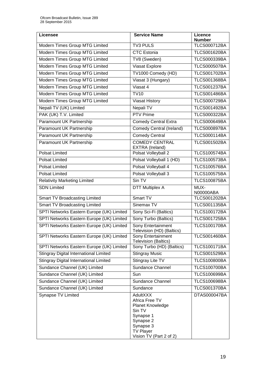| <b>Licensee</b>                           | <b>Service Name</b>                                                                                                                                   | <b>Licence</b><br><b>Number</b> |
|-------------------------------------------|-------------------------------------------------------------------------------------------------------------------------------------------------------|---------------------------------|
| Modern Times Group MTG Limited            | <b>TV3 PULS</b>                                                                                                                                       | <b>TLCS000712BA</b>             |
| Modern Times Group MTG Limited            | <b>CTC</b> Estonia                                                                                                                                    | <b>TLCS001620BA</b>             |
| Modern Times Group MTG Limited            | TV8 (Sweden)                                                                                                                                          | <b>TLCS000339BA</b>             |
| Modern Times Group MTG Limited            | Viasat Explore                                                                                                                                        | <b>TLCS000507BA</b>             |
| Modern Times Group MTG Limited            | TV1000 Comedy (HD)                                                                                                                                    | <b>TLCS001702BA</b>             |
| Modern Times Group MTG Limited            | Viasat 3 (Hungary)                                                                                                                                    | <b>TLCS001368BA</b>             |
| Modern Times Group MTG Limited            | Viasat 4                                                                                                                                              | <b>TLCS001237BA</b>             |
| Modern Times Group MTG Limited            | <b>TV10</b>                                                                                                                                           | <b>TLCS001486BA</b>             |
| Modern Times Group MTG Limited            | <b>Viasat History</b>                                                                                                                                 | <b>TLCS000729BA</b>             |
| Nepali TV (UK) Limited                    | Nepali TV                                                                                                                                             | <b>TLCS001492BA</b>             |
| PAK (UK) T.V. Limited                     | <b>PTV Prime</b>                                                                                                                                      | <b>TLCS000322BA</b>             |
| Paramount UK Partnership                  | <b>Comedy Central Extra</b>                                                                                                                           | <b>TLCS000649BA</b>             |
| Paramount UK Partnership                  | <b>Comedy Central (Ireland)</b>                                                                                                                       | <b>TLCS000897BA</b>             |
| Paramount UK Partnership                  | <b>Comedy Central</b>                                                                                                                                 | <b>TLCS000114BA</b>             |
| Paramount UK Partnership                  | <b>COMEDY CENTRAL</b><br>EXTRA (Ireland)                                                                                                              | <b>TLCS001502BA</b>             |
| <b>Polsat Limited</b>                     | Polsat Volleyball 2                                                                                                                                   | <b>TLCS100574BA</b>             |
| Polsat Limited                            | Polsat Volleyball 1 (HD)                                                                                                                              | <b>TLCS100573BA</b>             |
| <b>Polsat Limited</b>                     | Polsat Volleyball 4                                                                                                                                   | <b>TLCS100576BA</b>             |
| <b>Polsat Limited</b>                     | Polsat Volleyball 3                                                                                                                                   | <b>TLCS100575BA</b>             |
| <b>Relativity Marketing Limited</b>       | Sin TV                                                                                                                                                | <b>TLCS100875BA</b>             |
| <b>SDN Limited</b>                        | <b>DTT Multiplex A</b>                                                                                                                                | MUX-<br>N00000ABA               |
| <b>Smart TV Broadcasting Limited</b>      | Smart TV                                                                                                                                              | <b>TLCS001202BA</b>             |
| <b>Smart TV Broadcasting Limited</b>      | Sinemax TV                                                                                                                                            | <b>TLCS001135BA</b>             |
| SPTI Networks Eastern Europe (UK) Limited | Sony Sci-Fi (Baltics)                                                                                                                                 | <b>TLCS100172BA</b>             |
| SPTI Networks Eastern Europe (UK) Limited | Sony Turbo (Baltics)                                                                                                                                  | <b>TLCS001725BA</b>             |
| SPTI Networks Eastern Europe (UK) Limited | Sony Entertainment<br>Television (HD) (Baltics)                                                                                                       | <b>TLCS100170BA</b>             |
| SPTI Networks Eastern Europe (UK) Limited | Sony Entertainment<br><b>Television (Baltics)</b>                                                                                                     | <b>TLCS001460BA</b>             |
| SPTI Networks Eastern Europe (UK) Limited | Sony Turbo (HD) (Baltics)                                                                                                                             | <b>TLCS100171BA</b>             |
| Stingray Digital International Limited    | <b>Stingray Music</b>                                                                                                                                 | <b>TLCS001529BA</b>             |
| Stingray Digital International Limited    | Stingray Lite TV                                                                                                                                      | <b>TLCS100800BA</b>             |
| Sundance Channel (UK) Limited             | Sundance Channel                                                                                                                                      | <b>TLCS100700BA</b>             |
| Sundance Channel (UK) Limited             | Sun                                                                                                                                                   | <b>TLCS100699BA</b>             |
| Sundance Channel (UK) Limited             | Sundance Channel                                                                                                                                      | <b>TLCS100698BA</b>             |
| Sundance Channel (UK) Limited             | Sundance                                                                                                                                              | <b>TLCS001370BA</b>             |
| Synapse TV Limited                        | <b>AdultXXX</b><br>Africa Free TV<br>Planet Knowledge<br>Sin TV<br>Synapse 1<br>Synapse 2<br>Synapse 3<br><b>TV Player</b><br>Vision TV (Part 2 of 2) | DTAS000047BA                    |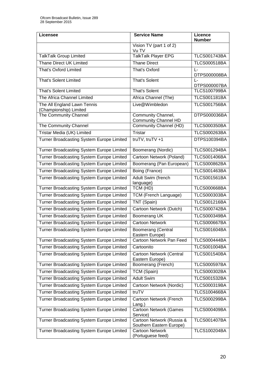| Licensee                                              | <b>Service Name</b>                                   | <b>Licence</b><br><b>Number</b> |
|-------------------------------------------------------|-------------------------------------------------------|---------------------------------|
|                                                       | Vision TV (part 1 of 2)<br>Vu TV                      |                                 |
| <b>TalkTalk Group Limited</b>                         | TalkTalk Player EPG                                   | <b>TLCS001743BA</b>             |
| <b>Thane Direct UK Limited</b>                        | <b>Thane Direct</b>                                   | <b>TLCS000518BA</b>             |
| <b>That's Oxford Limited</b>                          | That's Oxford                                         | L-<br>DTPS000008BA              |
| <b>That's Solent Limited</b>                          | <b>That's Solent</b>                                  | Ŀ<br>DTPS000007BA               |
| <b>That's Solent Limited</b>                          | <b>That's Solent</b>                                  | <b>TLCS100799BA</b>             |
| The Africa Channel Limited                            | Africa Channel (The)                                  | <b>TLCS001181BA</b>             |
| The All England Lawn Tennis<br>(Championship) Limited | Live@Wimbledon                                        | <b>TLCS001756BA</b>             |
| The Community Channel                                 | Community Channel,<br><b>Community Channel HD</b>     | DTPS000036BA                    |
| The Community Channel                                 | Community Channel (HD)                                | <b>TLCS000350BA</b>             |
| Tristar Media (UK) Limited                            | Tristar                                               | <b>TLCS000263BA</b>             |
| Turner Broadcasting System Europe Limited             | truTV, truTV +1                                       | DTPS100394BA                    |
| Turner Broadcasting System Europe Limited             | Boomerang (Nordic)                                    | <b>TLCS001294BA</b>             |
| <b>Turner Broadcasting System Europe Limited</b>      | Cartoon Network (Poland)                              | <b>TLCS001406BA</b>             |
| Turner Broadcasting System Europe Limited             | Boomerang (Pan European)                              | <b>TLCS000862BA</b>             |
| Turner Broadcasting System Europe Limited             | Boing (France)                                        | <b>TLCS001463BA</b>             |
| Turner Broadcasting System Europe Limited             | Adult Swim (french<br>language)                       | <b>TLCS001561BA</b>             |
| Turner Broadcasting System Europe Limited             | $\overline{TCM}$ (HD)                                 | <b>TLCS000668BA</b>             |
| Turner Broadcasting System Europe Limited             | TCM (French Language)                                 | <b>TLCS000303BA</b>             |
| Turner Broadcasting System Europe Limited             | TNT (Spain)                                           | <b>TLCS001216BA</b>             |
| Turner Broadcasting System Europe Limited             | Cartoon Network (Dutch)                               | <b>TLCS000742BA</b>             |
| <b>Turner Broadcasting System Europe Limited</b>      | Boomerang UK                                          | <b>TLCS000349BA</b>             |
| Turner Broadcasting System Europe Limited             | <b>Cartoon Network</b>                                | <b>TLCS000667BA</b>             |
| <b>Turner Broadcasting System Europe Limited</b>      | <b>Boomerang (Central</b><br>Eastern Europe)          | <b>TLCS001604BA</b>             |
| Turner Broadcasting System Europe Limited             | Cartoon Network Pan Feed                              | <b>TLCS000444BA</b>             |
| Turner Broadcasting System Europe Limited             | Cartoonito                                            | <b>TLCS001004BA</b>             |
| Turner Broadcasting System Europe Limited             | Cartoon Network (Central<br>Eastern Europe)           | <b>TLCS001540BA</b>             |
| Turner Broadcasting System Europe Limited             | Boomerang (French)                                    | <b>TLCS000597BA</b>             |
| Turner Broadcasting System Europe Limited             | TCM (Spain)                                           | <b>TLCS000302BA</b>             |
| Turner Broadcasting System Europe Limited             | <b>Adult Swim</b>                                     | <b>TLCS001532BA</b>             |
| Turner Broadcasting System Europe Limited             | Cartoon Network (Nordic)                              | <b>TLCS000319BA</b>             |
| Turner Broadcasting System Europe Limited             | truTV                                                 | <b>TLCS100466BA</b>             |
| Turner Broadcasting System Europe Limited             | Cartoon Network (French<br>$Lang.$ )                  | <b>TLCS000299BA</b>             |
| Turner Broadcasting System Europe Limited             | Cartoon Network (Games<br>Service)                    | <b>TLCS000409BA</b>             |
| Turner Broadcasting System Europe Limited             | Cartoon Network (Russia &<br>Southern Eastern Europe) | <b>TLCS001407BA</b>             |
| Turner Broadcasting System Europe Limited             | <b>Cartoon Network</b><br>(Portuguese feed)           | <b>TLCS100204BA</b>             |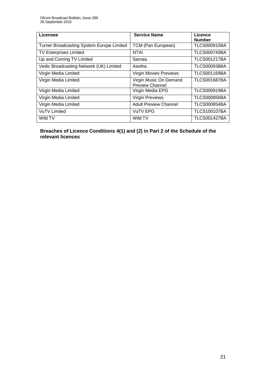| Licensee                                  | <b>Service Name</b>           | Licence             |
|-------------------------------------------|-------------------------------|---------------------|
|                                           |                               | <b>Number</b>       |
| Turner Broadcasting System Europe Limited | TCM (Pan European)            | <b>TLCS000915BA</b> |
| <b>TV Enterprises Limited</b>             | <b>NTAI</b>                   | <b>TLCS000743BA</b> |
| Up and Coming TV Limited                  | Samaa                         | <b>TLCS001217BA</b> |
| Vedic Broadcasting Network (UK) Limited   | Aastha                        | <b>TLCS000938BA</b> |
| Virgin Media Limited                      | <b>Virgin Movies Previews</b> | <b>TLCS001169BA</b> |
| Virgin Media Limited                      | Virgin Music On Demand        | <b>TLCS001687BA</b> |
|                                           | <b>Preview Channel</b>        |                     |
| Virgin Media Limited                      | Virgin Media EPG              | <b>TLCS000919BA</b> |
| Virgin Media Limited                      | Virgin Previews               | <b>TLCS000856BA</b> |
| Virgin Media Limited                      | <b>Adult Preview Channel</b>  | <b>TLCS000854BA</b> |
| <b>VuTV Limited</b>                       | <b>VuTV EPG</b>               | <b>TLCS100107BA</b> |
| Wild TV                                   | Wild TV                       | <b>TLCS001427BA</b> |

### **Breaches of Licence Conditions 4(1) and (2) in Part 2 of the Schedule of the relevant licences**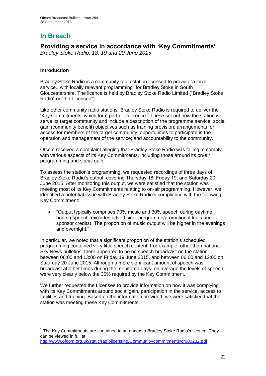# **In Breach**

## **Providing a service in accordance with 'Key Commitments'**

*Bradley Stoke Radio, 18, 19 and 20 June 2015*

### **Introduction**

1

Bradley Stoke Radio is a community radio station licensed to provide "a local service...with locally relevant programming" for Bradley Stoke in South Gloucestershire. The licence is held by Bradley Stoke Radio Limited ("Bradley Stoke Radio" or "the Licensee").

Like other community radio stations, Bradley Stoke Radio is required to deliver the 'Key Commitments' which form part of its licence.<sup>1</sup> These set out how the station will serve its target community and include a description of the programme service; social gain (community benefit) objectives such as training provision; arrangements for access for members of the target community; opportunities to participate in the operation and management of the service; and accountability to the community.

Ofcom received a complaint alleging that Bradley Stoke Radio was failing to comply with various aspects of its Key Commitments, including those around its on-air programming and social gain.

To assess the station's programming, we requested recordings of three days of Bradley Stoke Radio's output, covering Thursday 18, Friday 19, and Saturday 20 June 2015. After monitoring this output, we were satisfied that the station was meeting most of its Key Commitments relating to on-air programming. However, we identified a potential issue with Bradley Stoke Radio's compliance with the following Key Commitment:

 "Output typically comprises 70% music and 30% speech during daytime hours ('speech' excludes advertising, programme/promotional trails and sponsor credits). The proportion of music output will be higher in the evenings and overnight."

In particular, we noted that a significant proportion of the station's scheduled programming contained very little speech content. For example, other than national Sky News bulletins, there appeared to be no speech broadcast on the station between 06:00 and 13:00 on Friday 19 June 2015, and between 06:00 and 12:00 on Saturday 20 June 2015. Although a more significant amount of speech was broadcast at other times during the monitored days, on average the levels of speech were very clearly below the 30% required by the Key Commitment.

We further requested the Licensee to provide information on how it was complying with its Key Commitments around social gain, participation in the service, access to facilities and training. Based on the information provided, we were satisfied that the station was meeting these Key Commitments.

 $1$  The Key Commitments are contained in an annex to Bradley Stoke Radio's licence. They can be viewed in full at:

[http://www.ofcom.org.uk/static/radiolicensing/Community/commitments/cr000232.pdf.](http://www.ofcom.org.uk/static/radiolicensing/Community/commitments/cr000232.pdf)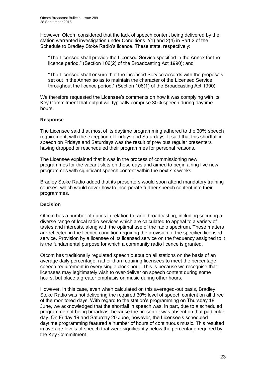However, Ofcom considered that the lack of speech content being delivered by the station warranted investigation under Conditions 2(1) and 2(4) in Part 2 of the Schedule to Bradley Stoke Radio's licence. These state, respectively:

"The Licensee shall provide the Licensed Service specified in the Annex for the licence period." (Section 106(2) of the Broadcasting Act 1990); and

"The Licensee shall ensure that the Licensed Service accords with the proposals set out in the Annex so as to maintain the character of the Licensed Service throughout the licence period." (Section 106(1) of the Broadcasting Act 1990).

We therefore requested the Licensee's comments on how it was complying with its Key Commitment that output will typically comprise 30% speech during daytime hours.

### **Response**

The Licensee said that most of its daytime programming adhered to the 30% speech requirement, with the exception of Fridays and Saturdays. It said that this shortfall in speech on Fridays and Saturdays was the result of previous regular presenters having dropped or rescheduled their programmes for personal reasons.

The Licensee explained that it was in the process of commissioning new programmes for the vacant slots on these days and aimed to begin airing five new programmes with significant speech content within the next six weeks.

Bradley Stoke Radio added that its presenters would soon attend mandatory training courses, which would cover how to incorporate further speech content into their programmes.

### **Decision**

Ofcom has a number of duties in relation to radio broadcasting, including securing a diverse range of local radio services which are calculated to appeal to a variety of tastes and interests, along with the optimal use of the radio spectrum. These matters are reflected in the licence condition requiring the provision of the specified licensed service. Provision by a licensee of its licensed service on the frequency assigned to it is the fundamental purpose for which a community radio licence is granted.

Ofcom has traditionally regulated speech output on all stations on the basis of an average daily percentage, rather than requiring licensees to meet the percentage speech requirement in every single clock hour. This is because we recognise that licensees may legitimately wish to over-deliver on speech content during some hours, but place a greater emphasis on music during other hours.

However, in this case, even when calculated on this averaged-out basis, Bradley Stoke Radio was not delivering the required 30% level of speech content on all three of the monitored days. With regard to the station's programming on Thursday 18 June, we acknowledged that the shortfall in speech was, in part, due to a scheduled programme not being broadcast because the presenter was absent on that particular day. On Friday 19 and Saturday 20 June, however, the Licensee's scheduled daytime programming featured a number of hours of continuous music. This resulted in average levels of speech that were significantly below the percentage required by the Key Commitment.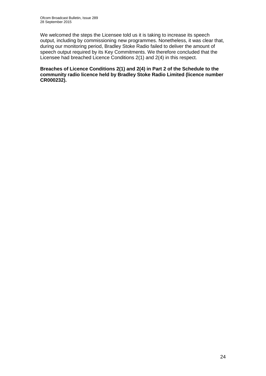We welcomed the steps the Licensee told us it is taking to increase its speech output, including by commissioning new programmes. Nonetheless, it was clear that, during our monitoring period, Bradley Stoke Radio failed to deliver the amount of speech output required by its Key Commitments. We therefore concluded that the Licensee had breached Licence Conditions 2(1) and 2(4) in this respect.

**Breaches of Licence Conditions 2(1) and 2(4) in Part 2 of the Schedule to the community radio licence held by Bradley Stoke Radio Limited (licence number CR000232).**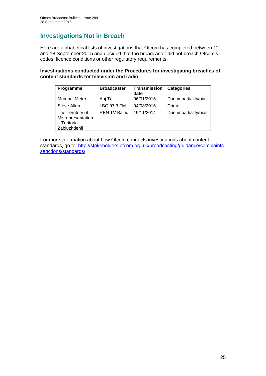# **Investigations Not in Breach**

Here are alphabetical lists of investigations that Ofcom has completed between 12 and 18 September 2015 and decided that the broadcaster did not breach Ofcom's codes, licence conditions or other regulatory requirements.

### **Investigations conducted under the Procedures for investigating breaches of content standards for television and radio**

| Programme                                                            | <b>Broadcaster</b>   | Transmission<br>date | <b>Categories</b>     |
|----------------------------------------------------------------------|----------------------|----------------------|-----------------------|
| Mumbai Metro                                                         | Aaj Tak              | 06/01/2015           | Due impartiality/bias |
| Steve Allen                                                          | LBC 97.3 FM          | 04/08/2015           | Crime                 |
| The Territory of<br>Misrepresentation<br>- Teritoria<br>Zabluzhdenii | <b>REN TV Baltic</b> | 19/11/2014           | Due impartiality/bias |

For more information about how Ofcom conducts investigations about content standards, go to: [http://stakeholders.ofcom.org.uk/broadcasting/guidance/complaints](http://stakeholders.ofcom.org.uk/broadcasting/guidance/complaints-sanctions/standards/)[sanctions/standards/.](http://stakeholders.ofcom.org.uk/broadcasting/guidance/complaints-sanctions/standards/)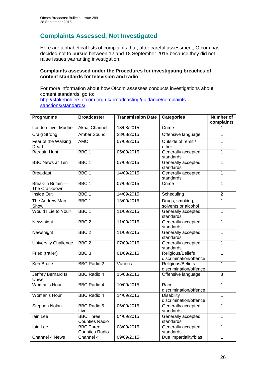# **Complaints Assessed, Not Investigated**

Here are alphabetical lists of complaints that, after careful assessment, Ofcom has decided not to pursue between 12 and 18 September 2015 because they did not raise issues warranting investigation.

### **Complaints assessed under the Procedures for investigating breaches of content standards for television and radio**

For more information about how Ofcom assesses conducts investigations about content standards, go to: [http://stakeholders.ofcom.org.uk/broadcasting/guidance/complaints](http://stakeholders.ofcom.org.uk/broadcasting/guidance/complaints-sanctions/standards/)[sanctions/standards/.](http://stakeholders.ofcom.org.uk/broadcasting/guidance/complaints-sanctions/standards/)

| Programme                           | <b>Broadcaster</b>                        | <b>Transmission Date</b> | <b>Categories</b>                           | <b>Number of</b><br>complaints |
|-------------------------------------|-------------------------------------------|--------------------------|---------------------------------------------|--------------------------------|
| London Live: Mudhe                  | <b>Akaal Channel</b>                      | 13/08/2015               | Crime                                       | 1                              |
| Craig Strong                        | <b>Amber Sound</b>                        | 28/08/2015               | Offensive language                          | 1                              |
| Fear of the Walking<br>Dead         | <b>AMC</b>                                | 07/09/2015               | Outside of remit /<br>other                 | 1                              |
| <b>Bargain Hunt</b>                 | BBC <sub>1</sub>                          | 05/09/2015               | Generally accepted<br>standards             | $\overline{1}$                 |
| <b>BBC News at Ten</b>              | BBC <sub>1</sub>                          | 07/09/2015               | Generally accepted<br>standards             | 1                              |
| <b>Breakfast</b>                    | BBC <sub>1</sub>                          | 14/09/2015               | Generally accepted<br>standards             | 1                              |
| Break-in Britain -<br>The Crackdown | BBC <sub>1</sub>                          | 07/09/2015               | Crime                                       | 1                              |
| Inside Out                          | BBC <sub>1</sub>                          | 14/09/2015               | Scheduling                                  | $\overline{2}$                 |
| The Andrew Marr<br>Show             | BBC <sub>1</sub>                          | 13/09/2015               | Drugs, smoking,<br>solvents or alcohol      | 1                              |
| Would I Lie to You?                 | BBC <sub>1</sub>                          | 11/09/2015               | Generally accepted<br>standards             | 1                              |
| Newsnight                           | BBC <sub>2</sub>                          | 11/09/2015               | Generally accepted<br>standards             | $\overline{1}$                 |
| Newsnight                           | BBC <sub>2</sub>                          | 11/09/2015               | Generally accepted<br>standards             | 1                              |
| <b>University Challenge</b>         | BBC <sub>2</sub>                          | 07/09/2015               | Generally accepted<br>standards             | $\overline{1}$                 |
| Fried (trailer)                     | BBC <sub>3</sub>                          | 01/09/2015               | Religious/Beliefs<br>discrimination/offence | 1                              |
| Ken Bruce                           | <b>BBC Radio 2</b>                        | Various                  | Religious/Beliefs<br>discrimination/offence | 1                              |
| <b>Jeffrey Bernard Is</b><br>Unwell | <b>BBC Radio 4</b>                        | 15/08/2015               | Offensive language                          | $\overline{8}$                 |
| Woman's Hour                        | <b>BBC Radio 4</b>                        | 10/09/2015               | Race<br>discrimination/offence              | $\overline{1}$                 |
| <b>Woman's Hour</b>                 | <b>BBC Radio 4</b>                        | 14/09/2015               | <b>Disability</b><br>discrimination/offence | $\overline{1}$                 |
| <b>Stephen Nolan</b>                | <b>BBC Radio 5</b><br>Live                | 06/09/2015               | Generally accepted<br>standards             | $\mathbf 1$                    |
| lain Lee                            | <b>BBC Three</b><br><b>Counties Radio</b> | 04/09/2015               | Generally accepted<br>standards             | 1                              |
| lain Lee                            | <b>BBC Three</b><br><b>Counties Radio</b> | 08/09/2015               | Generally accepted<br>standards             | 1                              |
| <b>Channel 4 News</b>               | Channel 4                                 | 09/09/2015               | Due impartiality/bias                       | $\mathbf{1}$                   |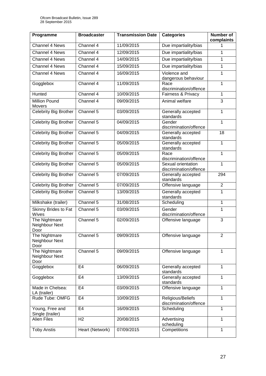| Programme                               | <b>Broadcaster</b> | <b>Transmission Date</b> | <b>Categories</b>                            | <b>Number of</b><br>complaints |
|-----------------------------------------|--------------------|--------------------------|----------------------------------------------|--------------------------------|
| Channel 4 News                          | Channel 4          | 11/09/2015               | Due impartiality/bias                        |                                |
| Channel 4 News                          | Channel 4          | 12/09/2015               | Due impartiality/bias                        | 1                              |
| <b>Channel 4 News</b>                   | Channel 4          | 14/09/2015               | Due impartiality/bias                        | $\mathbf{1}$                   |
| Channel 4 News                          | Channel 4          | 15/09/2015               | Due impartiality/bias                        | $\mathbf{1}$                   |
| Channel 4 News                          | Channel 4          | 16/09/2015               | Violence and<br>dangerous behaviour          | 1                              |
| Gogglebox                               | Channel 4          | 11/09/2015               | Race<br>discrimination/offence               | 1                              |
| Hunted                                  | Channel 4          | 10/09/2015               | Fairness & Privacy                           | $\mathbf{1}$                   |
| <b>Million Pound</b><br>Movers          | Channel 4          | 09/09/2015               | Animal welfare                               | 3                              |
| Celebrity Big Brother                   | Channel 5          | 03/09/2015               | Generally accepted<br>standards              | $\mathbf{1}$                   |
| <b>Celebrity Big Brother</b>            | Channel 5          | 04/09/2015               | Gender<br>discrimination/offence             | 1                              |
| <b>Celebrity Big Brother</b>            | Channel 5          | 04/09/2015               | Generally accepted<br>standards              | 18                             |
| Celebrity Big Brother                   | Channel 5          | 05/09/2015               | Generally accepted<br>standards              | 1                              |
| Celebrity Big Brother                   | Channel $5$        | 05/09/2015               | Race<br>discrimination/offence               | 1                              |
| <b>Celebrity Big Brother</b>            | Channel 5          | 05/09/2015               | Sexual orientation<br>discrimination/offence | 1                              |
| <b>Celebrity Big Brother</b>            | Channel 5          | 07/09/2015               | Generally accepted<br>standards              | 294                            |
| Celebrity Big Brother                   | Channel 5          | 07/09/2015               | Offensive language                           | $\overline{2}$                 |
| Celebrity Big Brother                   | Channel 5          | 13/09/2015               | Generally accepted<br>standards              | 1                              |
| Milkshake (trailer)                     | Channel 5          | 31/08/2015               | Scheduling                                   | $\mathbf{1}$                   |
| <b>Skinny Brides to Fat</b><br>Wives    | Channel 5          | 03/09/2015               | Gender<br>discrimination/offence             | 1                              |
| The Nightmare<br>Neighbour Next<br>Door | Channel 5          | 02/09/2015               | Offensive language                           | 3                              |
| The Nightmare<br>Neighbour Next<br>Door | Channel 5          | 09/09/2015               | Offensive language                           | $\overline{2}$                 |
| The Nightmare<br>Neighbour Next<br>Door | Channel 5          | 09/09/2015               | Offensive language                           | 1                              |
| Gogglebox                               | E <sub>4</sub>     | 06/09/2015               | Generally accepted<br>standards              | $\mathbf{1}$                   |
| Gogglebox                               | E <sub>4</sub>     | 13/09/2015               | Generally accepted<br>standards              | 1                              |
| Made in Chelsea:<br>LA (trailer)        | E4                 | 03/09/2015               | Offensive language                           | 1                              |
| Rude Tube: OMFG                         | E <sub>4</sub>     | 10/09/2015               | Religious/Beliefs<br>discrimination/offence  | 1                              |
| Young, Free and<br>Single (trailer)     | E <sub>4</sub>     | 16/09/2015               | Scheduling                                   | 1                              |
| <b>Alien Files</b>                      | H <sub>2</sub>     | 20/08/2015               | Advertising<br>scheduling                    | 1                              |
| <b>Toby Anstis</b>                      | Heart (Network)    | 07/09/2015               | Competitions                                 | $\mathbf{1}$                   |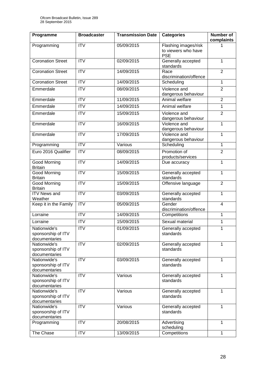| Programme                                           | <b>Broadcaster</b>     | <b>Transmission Date</b> | <b>Categories</b>                                         | Number of<br>complaints |
|-----------------------------------------------------|------------------------|--------------------------|-----------------------------------------------------------|-------------------------|
| Programming                                         | <b>ITV</b>             | 05/09/2015               | Flashing images/risk<br>to viewers who have<br><b>PSE</b> |                         |
| <b>Coronation Street</b>                            | $\overline{ITV}$       | 02/09/2015               | Generally accepted<br>standards                           | 1                       |
| <b>Coronation Street</b>                            | <b>ITV</b>             | 14/09/2015               | Race<br>discrimination/offence                            | $\overline{2}$          |
| <b>Coronation Street</b>                            | $\overline{\text{IV}}$ | 14/09/2015               | Scheduling                                                | 1                       |
| Emmerdale                                           | <b>ITV</b>             | 08/09/2015               | Violence and<br>dangerous behaviour                       | $\overline{2}$          |
| Emmerdale                                           | <b>ITV</b>             | 11/09/2015               | Animal welfare                                            | $\overline{2}$          |
| Emmerdale                                           | <b>ITV</b>             | 14/09/2015               | Animal welfare                                            | 1                       |
| Emmerdale                                           | $\overline{\text{IV}}$ | 15/09/2015               | Violence and<br>dangerous behaviour                       | $\overline{2}$          |
| Emmerdale                                           | $\overline{ITV}$       | 16/09/2015               | Violence and<br>dangerous behaviour                       | 1                       |
| Emmerdale                                           | <b>ITV</b>             | 17/09/2015               | Violence and<br>dangerous behaviour                       | 1                       |
| Programming                                         | $\overline{IV}$        | Various                  | Scheduling                                                | 1                       |
| Euro 2016 Qualifier                                 | <b>ITV</b>             | 08/09/2015               | Promotion of<br>products/services                         | $\overline{2}$          |
| Good Morning<br><b>Britain</b>                      | $\overline{\text{IV}}$ | 14/09/2015               | Due accuracy                                              | 1                       |
| <b>Good Morning</b><br><b>Britain</b>               | $\overline{ITV}$       | 15/09/2015               | Generally accepted<br>standards                           | 1                       |
| <b>Good Morning</b><br><b>Britain</b>               | <b>ITV</b>             | 15/09/2015               | Offensive language                                        | $\overline{2}$          |
| <b>ITV News and</b><br>Weather                      | $\overline{ITV}$       | 03/09/2015               | Generally accepted<br>standards                           | 1                       |
| Keep it in the Family                               | $\overline{ITV}$       | 05/09/2015               | Gender<br>discrimination/offence                          | 4                       |
| Lorraine                                            | $\overline{IV}$        | 14/09/2015               | Competitions                                              | 1                       |
| Lorraine                                            | <b>ITV</b>             | 15/09/2015               | Sexual material                                           | 1                       |
| Nationwide's<br>sponsorship of ITV<br>documentaries | $\overline{\text{IV}}$ | 01/09/2015               | Generally accepted<br>standards                           | 1                       |
| Nationwide's<br>sponsorship of ITV<br>documentaries | $\overline{IV}$        | 02/09/2015               | Generally accepted<br>standards                           | 1                       |
| Nationwide's<br>sponsorship of ITV<br>documentaries | <b>ITV</b>             | 03/09/2015               | Generally accepted<br>standards                           | 1                       |
| Nationwide's<br>sponsorship of ITV<br>documentaries | <b>ITV</b>             | Various                  | Generally accepted<br>standards                           | 1                       |
| Nationwide's<br>sponsorship of ITV<br>documentaries | <b>ITV</b>             | Various                  | Generally accepted<br>standards                           | 1                       |
| Nationwide's<br>sponsorship of ITV<br>documentaries | <b>ITV</b>             | Various                  | Generally accepted<br>standards                           | 1                       |
| Programming                                         | <b>ITV</b>             | 20/08/2015               | Advertising<br>scheduling                                 | 1                       |
| The Chase                                           | <b>ITV</b>             | 13/09/2015               | Competitions                                              | 1                       |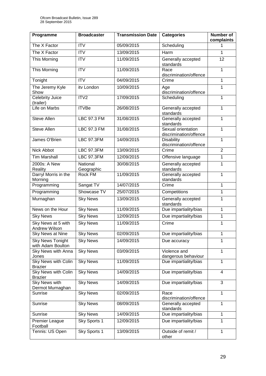| <b>Programme</b>                             | <b>Broadcaster</b>     | <b>Transmission Date</b> | <b>Categories</b>                            | Number of<br>complaints |
|----------------------------------------------|------------------------|--------------------------|----------------------------------------------|-------------------------|
| The X Factor                                 | <b>ITV</b>             | 05/09/2015               | Scheduling                                   | 1                       |
| The X Factor                                 | $\overline{IV}$        | 13/09/2015               | Harm                                         | 1                       |
| <b>This Morning</b>                          | <b>ITV</b>             | 11/09/2015               | Generally accepted<br>standards              | $\overline{12}$         |
| <b>This Morning</b>                          | <b>ITV</b>             | 11/09/2015               | Race<br>discrimination/offence               | $\mathbf{1}$            |
| Tonight                                      | <b>ITV</b>             | 04/09/2015               | Crime                                        | 1                       |
| The Jeremy Kyle<br>Show                      | itv London             | 10/09/2015               | Age<br>discrimination/offence                | 1                       |
| <b>Celebrity Juice</b><br>(trailer)          | ITV2                   | 17/09/2015               | Scheduling                                   | 1                       |
| Life on Marbs                                | <b>ITVBe</b>           | 26/08/2015               | Generally accepted<br>standards              | 1                       |
| Steve Allen                                  | <b>LBC 97.3 FM</b>     | 31/08/2015               | Generally accepted<br>standards              | $\mathbf{1}$            |
| <b>Steve Allen</b>                           | <b>LBC 97.3 FM</b>     | 31/08/2015               | Sexual orientation<br>discrimination/offence | $\mathbf{1}$            |
| James O'Brien                                | <b>LBC 97.3FM</b>      | 14/09/2015               | <b>Disability</b><br>discrimination/offence  | $\mathbf{1}$            |
| <b>Nick Abbot</b>                            | <b>LBC 97.3FM</b>      | 13/09/2015               | Crime                                        | $\overline{2}$          |
| <b>Tim Marshall</b>                          | <b>LBC 97.3FM</b>      | 12/09/2015               | Offensive language                           | 1                       |
| 2000s: A New<br>Reality                      | National<br>Geographic | 30/08/2015               | Generally accepted<br>standards              | 1                       |
| Darryl Morris in the<br>Morning              | <b>Rock FM</b>         | 11/09/2015               | Generally accepted<br>standards              | $\overline{1}$          |
| Programming                                  | Sangat TV              | 14/07/2015               | Crime                                        | $\mathbf 1$             |
| Programming                                  | Showcase TV            | 25/07/2015               | Competitions                                 | $\mathbf 1$             |
| Murnaghan                                    | <b>Sky News</b>        | 13/09/2015               | Generally accepted<br>standards              | 1                       |
| News on the Hour                             | <b>Sky News</b>        | 11/09/2015               | Due impartiality/bias                        | $\mathbf{1}$            |
| <b>Sky News</b>                              | <b>Sky News</b>        | 12/09/2015               | Due impartiality/bias                        | 1                       |
| Sky News at 5 with<br>Andrew Wilson          | <b>Sky News</b>        | 11/09/2015               | Crime                                        | 1                       |
| Sky News at Nine                             | <b>Sky News</b>        | 02/09/2015               | Due impartiality/bias                        | 1                       |
| <b>Sky News Tonight</b><br>with Adam Boulton | <b>Sky News</b>        | 14/09/2015               | Due accuracy                                 | 1                       |
| Sky News with Anna<br>Jones                  | <b>Sky News</b>        | 03/09/2015               | Violence and<br>dangerous behaviour          | 1                       |
| <b>Sky News with Colin</b><br><b>Brazier</b> | <b>Sky News</b>        | 11/09/2015               | Due impartiality/bias                        | $\mathbf{1}$            |
| Sky News with Colin<br><b>Brazier</b>        | <b>Sky News</b>        | 14/09/2015               | Due impartiality/bias                        | $\overline{4}$          |
| Sky News with<br>Dermot Murnaghan            | <b>Sky News</b>        | 14/09/2015               | Due impartiality/bias                        | 3                       |
| Sunrise                                      | <b>Sky News</b>        | 02/09/2015               | Race<br>discrimination/offence               | 1                       |
| Sunrise                                      | <b>Sky News</b>        | 08/09/2015               | Generally accepted<br>standards              | 1                       |
| Sunrise                                      | <b>Sky News</b>        | 14/09/2015               | Due impartiality/bias                        | 1                       |
| <b>Premier League</b><br>Football            | Sky Sports 1           | 12/09/2015               | Due impartiality/bias                        | 1                       |
| Tennis: US Open                              | Sky Sports 1           | 13/09/2015               | Outside of remit /<br>other                  | $\mathbf{1}$            |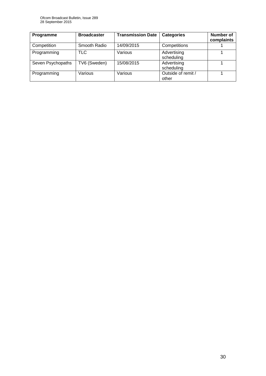| Programme         | <b>Broadcaster</b> | <b>Transmission Date</b> | <b>Categories</b>           | <b>Number of</b><br>complaints |
|-------------------|--------------------|--------------------------|-----------------------------|--------------------------------|
| Competition       | Smooth Radio       | 14/09/2015               | Competitions                |                                |
| Programming       | TLC                | Various                  | Advertising<br>scheduling   |                                |
| Seven Psychopaths | TV6 (Sweden)       | 15/08/2015               | Advertising<br>scheduling   |                                |
| Programming       | Various            | Various                  | Outside of remit /<br>other |                                |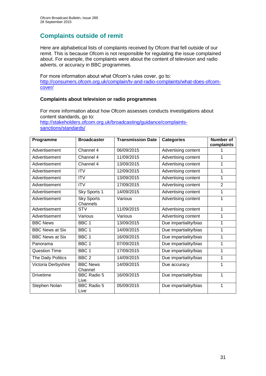# **Complaints outside of remit**

Here are alphabetical lists of complaints received by Ofcom that fell outside of our remit. This is because Ofcom is not responsible for regulating the issue complained about. For example, the complaints were about the content of television and radio adverts, or accuracy in BBC programmes.

For more information about what Ofcom's rules cover, go to: [http://consumers.ofcom.org.uk/complain/tv-and-radio-complaints/what-does-ofcom](http://consumers.ofcom.org.uk/complain/tv-and-radio-complaints/what-does-ofcom-cover/)[cover/](http://consumers.ofcom.org.uk/complain/tv-and-radio-complaints/what-does-ofcom-cover/)

### **Complaints about television or radio programmes**

For more information about how Ofcom assesses conducts investigations about content standards, go to: [http://stakeholders.ofcom.org.uk/broadcasting/guidance/complaints](http://stakeholders.ofcom.org.uk/broadcasting/guidance/complaints-sanctions/standards/)[sanctions/standards/](http://stakeholders.ofcom.org.uk/broadcasting/guidance/complaints-sanctions/standards/)

| Programme              | <b>Broadcaster</b>            | <b>Transmission Date</b> | <b>Categories</b>     | <b>Number of</b><br>complaints |
|------------------------|-------------------------------|--------------------------|-----------------------|--------------------------------|
| Advertisement          | Channel 4                     | 06/09/2015               | Advertising content   |                                |
| Advertisement          | Channel 4                     | 11/09/2015               | Advertising content   | 1                              |
| Advertisement          | Channel 4                     | 13/09/2015               | Advertising content   | 1                              |
| Advertisement          | <b>ITV</b>                    | 12/09/2015               | Advertising content   | 1                              |
| Advertisement          | <b>ITV</b>                    | 13/09/2015               | Advertising content   | 1                              |
| Advertisement          | <b>ITV</b>                    | 17/09/2015               | Advertising content   | $\overline{2}$                 |
| Advertisement          | Sky Sports 1                  | 14/09/2015               | Advertising content   | 1                              |
| Advertisement          | <b>Sky Sports</b><br>Channels | Various                  | Advertising content   | 1                              |
| Advertisement          | <b>STV</b>                    | 11/09/2015               | Advertising content   | 1                              |
| Advertisement          | Various                       | Various                  | Advertising content   | 1                              |
| <b>BBC News</b>        | BBC <sub>1</sub>              | 13/09/2015               | Due impartiality/bias | 1                              |
| <b>BBC News at Six</b> | BBC <sub>1</sub>              | 14/09/2015               | Due impartiality/bias | 1                              |
| <b>BBC News at Six</b> | BBC 1                         | 16/09/2015               | Due impartiality/bias | 1                              |
| Panorama               | BBC 1                         | 07/09/2015               | Due impartiality/bias | 1                              |
| <b>Question Time</b>   | BBC <sub>1</sub>              | 17/09/2015               | Due impartiality/bias | 1                              |
| The Daily Politics     | BBC <sub>2</sub>              | 14/09/2015               | Due impartiality/bias | 1                              |
| Victoria Derbyshire    | <b>BBC News</b><br>Channel    | 14/09/2015               | Due accuracy          | 1                              |
| <b>Drivetime</b>       | <b>BBC Radio 5</b><br>Live    | 16/09/2015               | Due impartiality/bias | 1                              |
| Stephen Nolan          | <b>BBC Radio 5</b><br>Live    | 05/09/2015               | Due impartiality/bias | 1                              |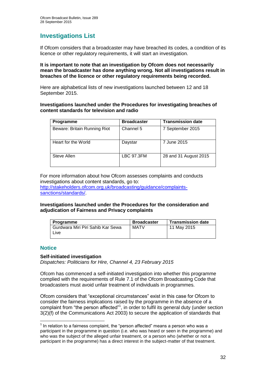# **Investigations List**

If Ofcom considers that a broadcaster may have breached its codes, a condition of its licence or other regulatory requirements, it will start an investigation.

### **It is important to note that an investigation by Ofcom does not necessarily mean the broadcaster has done anything wrong. Not all investigations result in breaches of the licence or other regulatory requirements being recorded.**

Here are alphabetical lists of new investigations launched between 12 and 18 September 2015.

### **Investigations launched under the Procedures for investigating breaches of content standards for television and radio**

| Programme                    | <b>Broadcaster</b> | <b>Transmission date</b> |  |
|------------------------------|--------------------|--------------------------|--|
| Beware: Britain Running Riot | Channel 5          | 7 September 2015         |  |
| Heart for the World          | Daystar            | 7 June 2015              |  |
| Steve Allen                  | <b>LBC 97.3FM</b>  | 28 and 31 August 2015    |  |

For more information about how Ofcom assesses complaints and conducts investigations about content standards, go to:

[http://stakeholders.ofcom.org.uk/broadcasting/guidance/complaints](http://stakeholders.ofcom.org.uk/broadcasting/guidance/complaints-sanctions/standards/)[sanctions/standards/.](http://stakeholders.ofcom.org.uk/broadcasting/guidance/complaints-sanctions/standards/)

### **Investigations launched under the Procedures for the consideration and adjudication of Fairness and Privacy complaints**

| Programme                                 | <b>Broadcaster</b> | <b>Transmission date</b> |
|-------------------------------------------|--------------------|--------------------------|
| Gurdwara Miri Piri Sahib Kar Sewa<br>Live | MATV               | 11 May 2015              |

### **Notice**

1

### **Self-initiated investigation**

*Dispatches: Politicians for Hire, Channel 4, 23 February 2015*

Ofcom has commenced a self-initiated investigation into whether this programme complied with the requirements of Rule 7.1 of the Ofcom Broadcasting Code that broadcasters must avoid unfair treatment of individuals in programmes.

Ofcom considers that "exceptional circumstances" exist in this case for Ofcom to consider the fairness implications raised by the programme in the absence of a complaint from "the person affected"<sup>1</sup>, in order to fulfil its general duty (under section 3(2)(f) of the Communications Act 2003) to secure the application of standards that

 $<sup>1</sup>$  In relation to a fairness complaint, the "person affected" means a person who was a</sup> participant in the programme in question (i.e. who was heard or seen in the programme) and who was the subject of the alleged unfair treatment, or a person who (whether or not a participant in the programme) has a direct interest in the subject-matter of that treatment.